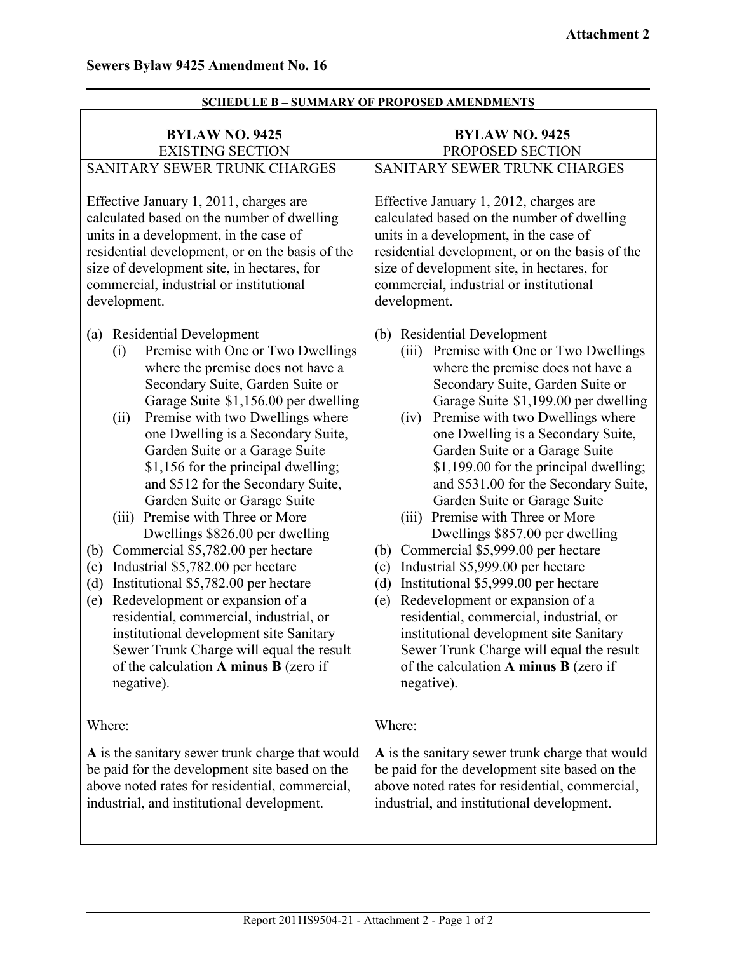| <b>BYLAW NO. 9425</b><br><b>EXISTING SECTION</b>                                                                                                                                                                                                                                                                                                                                                                                                                                                                                                                                                                                                                                                                                                                                                                                                                                            | <b>BYLAW NO. 9425</b><br>PROPOSED SECTION                                                                                                                                                                                                                                                                                                                                                                                                                                                                                                                                                                                                                                                                                                                                                                                                                                                    |
|---------------------------------------------------------------------------------------------------------------------------------------------------------------------------------------------------------------------------------------------------------------------------------------------------------------------------------------------------------------------------------------------------------------------------------------------------------------------------------------------------------------------------------------------------------------------------------------------------------------------------------------------------------------------------------------------------------------------------------------------------------------------------------------------------------------------------------------------------------------------------------------------|----------------------------------------------------------------------------------------------------------------------------------------------------------------------------------------------------------------------------------------------------------------------------------------------------------------------------------------------------------------------------------------------------------------------------------------------------------------------------------------------------------------------------------------------------------------------------------------------------------------------------------------------------------------------------------------------------------------------------------------------------------------------------------------------------------------------------------------------------------------------------------------------|
| SANITARY SEWER TRUNK CHARGES                                                                                                                                                                                                                                                                                                                                                                                                                                                                                                                                                                                                                                                                                                                                                                                                                                                                | SANITARY SEWER TRUNK CHARGES                                                                                                                                                                                                                                                                                                                                                                                                                                                                                                                                                                                                                                                                                                                                                                                                                                                                 |
| Effective January 1, 2011, charges are<br>calculated based on the number of dwelling<br>units in a development, in the case of<br>residential development, or on the basis of the<br>size of development site, in hectares, for<br>commercial, industrial or institutional<br>development.                                                                                                                                                                                                                                                                                                                                                                                                                                                                                                                                                                                                  | Effective January 1, 2012, charges are<br>calculated based on the number of dwelling<br>units in a development, in the case of<br>residential development, or on the basis of the<br>size of development site, in hectares, for<br>commercial, industrial or institutional<br>development.                                                                                                                                                                                                                                                                                                                                                                                                                                                                                                                                                                                                   |
| <b>Residential Development</b><br>(a)<br>Premise with One or Two Dwellings<br>(i)<br>where the premise does not have a<br>Secondary Suite, Garden Suite or<br>Garage Suite \$1,156.00 per dwelling<br>Premise with two Dwellings where<br>(ii)<br>one Dwelling is a Secondary Suite,<br>Garden Suite or a Garage Suite<br>\$1,156 for the principal dwelling;<br>and \$512 for the Secondary Suite,<br>Garden Suite or Garage Suite<br>(iii)<br>Premise with Three or More<br>Dwellings \$826.00 per dwelling<br>Commercial \$5,782.00 per hectare<br>(b)<br>Industrial \$5,782.00 per hectare<br>(c)<br>Institutional \$5,782.00 per hectare<br>(d)<br>Redevelopment or expansion of a<br>(e)<br>residential, commercial, industrial, or<br>institutional development site Sanitary<br>Sewer Trunk Charge will equal the result<br>of the calculation $A$ minus $B$ (zero if<br>negative). | <b>Residential Development</b><br>(b)<br>(iii) Premise with One or Two Dwellings<br>where the premise does not have a<br>Secondary Suite, Garden Suite or<br>Garage Suite \$1,199.00 per dwelling<br>Premise with two Dwellings where<br>(iv)<br>one Dwelling is a Secondary Suite,<br>Garden Suite or a Garage Suite<br>\$1,199.00 for the principal dwelling;<br>and \$531.00 for the Secondary Suite,<br>Garden Suite or Garage Suite<br>Premise with Three or More<br>(iii)<br>Dwellings \$857.00 per dwelling<br>Commercial \$5,999.00 per hectare<br>(b)<br>Industrial \$5,999.00 per hectare<br>(c)<br>Institutional \$5,999.00 per hectare<br>(d)<br>Redevelopment or expansion of a<br>(e)<br>residential, commercial, industrial, or<br>institutional development site Sanitary<br>Sewer Trunk Charge will equal the result<br>of the calculation A minus B (zero if<br>negative). |
| Where:                                                                                                                                                                                                                                                                                                                                                                                                                                                                                                                                                                                                                                                                                                                                                                                                                                                                                      | Where:                                                                                                                                                                                                                                                                                                                                                                                                                                                                                                                                                                                                                                                                                                                                                                                                                                                                                       |
| A is the sanitary sewer trunk charge that would<br>be paid for the development site based on the<br>above noted rates for residential, commercial,<br>industrial, and institutional development.                                                                                                                                                                                                                                                                                                                                                                                                                                                                                                                                                                                                                                                                                            | A is the sanitary sewer trunk charge that would<br>be paid for the development site based on the<br>above noted rates for residential, commercial,<br>industrial, and institutional development.                                                                                                                                                                                                                                                                                                                                                                                                                                                                                                                                                                                                                                                                                             |

## **SCHEDULE B – SUMMARY OF PROPOSED AMENDMENTS**